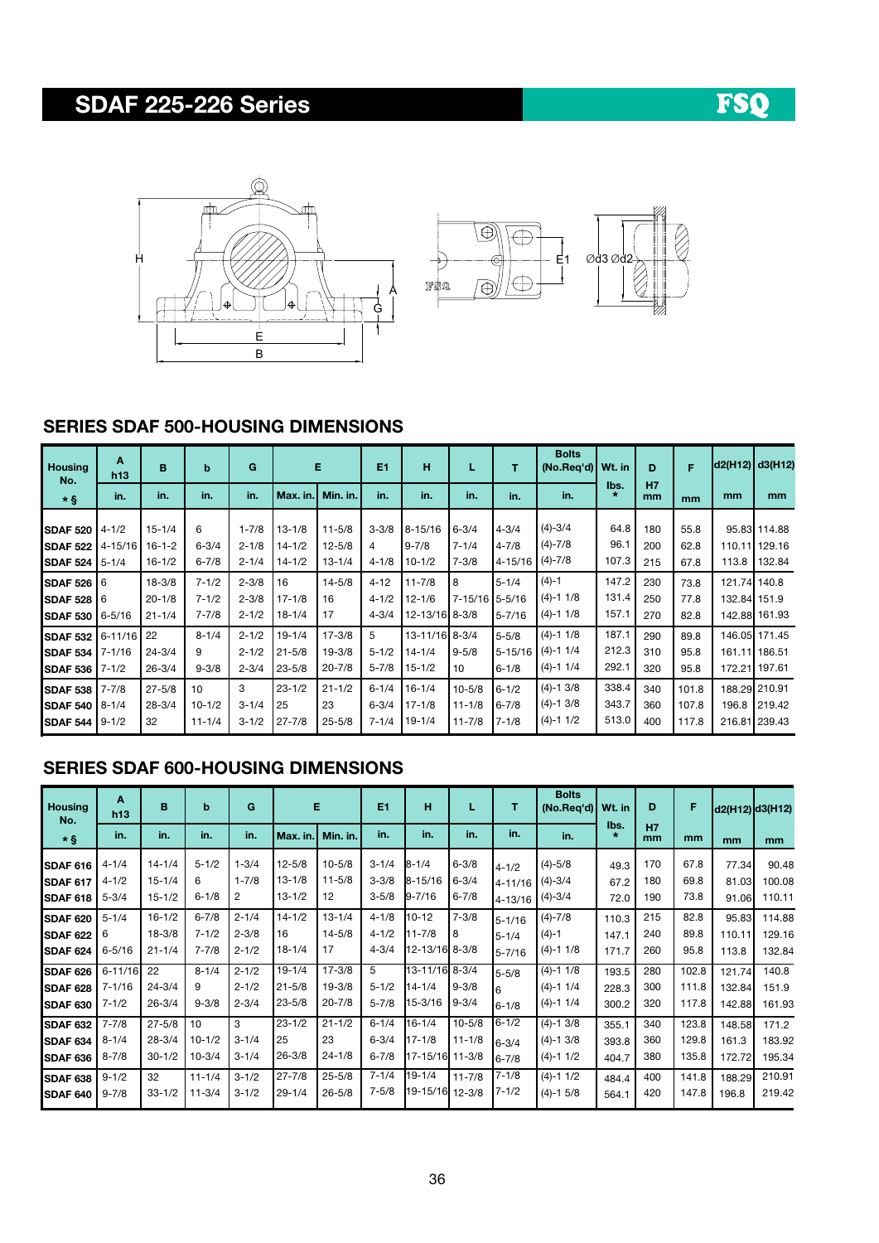# SDAF 225-226 Series





### SERIES SDAF 500-HOUSING DIMENSIONS

| <b>Housing</b><br>No.                                     | A<br>h13                              | B                                      | $\mathbf b$                         | G                                   |                                        | E                                      | E1                                  | н                                          |                                        | т                                     | <b>Bolts</b><br>(No.Req'd)   Wt. in       |                         | D                 | F                       |       | d2(H12) d3(H12)                                 |
|-----------------------------------------------------------|---------------------------------------|----------------------------------------|-------------------------------------|-------------------------------------|----------------------------------------|----------------------------------------|-------------------------------------|--------------------------------------------|----------------------------------------|---------------------------------------|-------------------------------------------|-------------------------|-------------------|-------------------------|-------|-------------------------------------------------|
| $\star$ §                                                 | in.                                   | in.                                    | in.                                 | in.                                 | Max. in.                               | Min. in.                               | in.                                 | in.                                        | in.                                    | in.                                   | in.                                       | lbs.<br>$\star$         | H7<br>mm          | mm                      | mm    | mm                                              |
| <b>SDAF 520</b><br><b>SDAF 522</b><br>SDAF <sub>524</sub> | $4 - 1/2$<br>$4 - 15/16$<br>$5 - 1/4$ | $15 - 1/4$<br>$16-1-2$<br>$16 - 1/2$   | 6<br>$6 - 3/4$<br>$6 - 7/8$         | $1 - 7/8$<br>$2 - 1/8$<br>$2 - 1/4$ | $13 - 1/8$<br>$14 - 1/2$<br>$14 - 1/2$ | $11 - 5/8$<br>$12 - 5/8$<br>$13 - 1/4$ | $3 - 3/8$<br>4<br>$4 - 1/8$         | $8 - 15/16$<br>$9 - 7/8$<br>$10 - 1/2$     | $6 - 3/4$<br>$7 - 1/4$<br>$7 - 3/8$    | $4 - 3/4$<br>$4 - 7/8$<br>4-15/16     | $(4) - 3/4$<br>$(4) - 7/8$<br>$(4) - 7/8$ | 64.8<br>96.1<br>107.3   | 180<br>200<br>215 | 55.8<br>62.8<br>67.8    | 113.8 | 95.83 114.88<br>110.11 129.16<br>132.84         |
| <b>SDAF 526</b><br><b>SDAF 528</b><br>SDAF 530            | 16<br>16<br>6-5/16                    | $18 - 3/8$<br>$20 - 1/8$<br>$21 - 1/4$ | $7 - 1/2$<br>$7 - 1/2$<br>$7 - 7/8$ | $2 - 3/8$<br>$2 - 3/8$<br>$2 - 1/2$ | 16<br>$17 - 1/8$<br>$18 - 1/4$         | $14 - 5/8$<br>16<br>17                 | $4 - 12$<br>$4 - 1/2$<br>$4 - 3/4$  | $11 - 7/8$<br>$12 - 1/6$<br>12-13/16 8-3/8 | 8<br>7-15/16 5-5/16                    | $5 - 1/4$<br>$5 - 7/16$               | $(4)-1$<br>$(4)-1$ 1/8<br>$(4)-1$ 1/8     | 147.2<br>131.4<br>157.1 | 230<br>250<br>270 | 73.8<br>77.8<br>82.8    |       | 121.74 140.8<br>132.84 151.9<br>142.88 161.93   |
| SDAF <sub>532</sub><br><b>SDAF 534</b><br>SDAF 536        | 6-11/16<br>7-1/16<br>$7 - 1/2$        | 22<br>$24 - 3/4$<br>$26 - 3/4$         | $8 - 1/4$<br>9<br>$9 - 3/8$         | $2 - 1/2$<br>$2 - 1/2$<br>$2 - 3/4$ | $19 - 1/4$<br>$21 - 5/8$<br>$23 - 5/8$ | $17 - 3/8$<br>$19 - 3/8$<br>$20 - 7/8$ | 5<br>$5 - 1/2$<br>$5 - 7/8$         | 13-11/16 8-3/4<br>14-1/4<br>15-1/2         | $9 - 5/8$<br>10                        | $5 - 5/8$<br>$5 - 15/16$<br>$6 - 1/8$ | $(4)-1$ 1/8<br>$(4)-1$ 1/4<br>$(4)-1$ 1/4 | 187.1<br>212.3<br>292.1 | 290<br>310<br>320 | 89.8<br>95.8<br>95.8    |       | 146.05 171.45<br>161.11 186.51<br>172.21 197.61 |
| SDAF 538<br>SDAF 540<br>SDAF 544                          | $7 - 7/8$<br>$8 - 1/4$<br>$9 - 1/2$   | $27 - 5/8$<br>$28 - 3/4$<br>32         | 10<br>$10 - 1/2$<br>$11 - 1/4$      | 3<br>$3 - 1/4$<br>$3 - 1/2$         | $23 - 1/2$<br>25<br>$27 - 7/8$         | $21 - 1/2$<br>23<br>$25 - 5/8$         | $6 - 1/4$<br>$6 - 3/4$<br>$7 - 1/4$ | $16 - 1/4$<br>$17 - 1/8$<br>$19 - 1/4$     | $10 - 5/8$<br>$11 - 1/8$<br>$11 - 7/8$ | $6 - 1/2$<br>$6 - 7/8$<br>$7 - 1/8$   | $(4)-1$ 3/8<br>$(4)-1$ 3/8<br>$(4)-1$ 1/2 | 338.4<br>343.7<br>513.0 | 340<br>360<br>400 | 101.8<br>107.8<br>117.8 | 196.8 | 188.29 210.91<br>219.42<br>216.81 239.43        |

### SERIES SDAF 600-HOUSING DIMENSIONS

| <b>Housing</b><br>No.                                                        | $\mathbf{A}$<br>h13                              | B                                                          | b                                                          | G                                                     | Е                                                          |                                                            | E1                                                            | н                                                                        | L                                      | т                                                             | <b>Bolts</b><br>(No.Peq'd)                               | Wt. in                           | D                               | F                                         | d2(H12) d3(H12)                     |                                               |
|------------------------------------------------------------------------------|--------------------------------------------------|------------------------------------------------------------|------------------------------------------------------------|-------------------------------------------------------|------------------------------------------------------------|------------------------------------------------------------|---------------------------------------------------------------|--------------------------------------------------------------------------|----------------------------------------|---------------------------------------------------------------|----------------------------------------------------------|----------------------------------|---------------------------------|-------------------------------------------|-------------------------------------|-----------------------------------------------|
| $\star$ §                                                                    | in.                                              | in.                                                        | in.                                                        | in.                                                   | Max. in.                                                   | Min. in.                                                   | in.                                                           | in.                                                                      | in.                                    | in.                                                           | in.                                                      | lbs.<br>$\star$                  | <b>H7</b><br>mm                 | mm                                        | mm                                  | mm                                            |
| SDAF 616<br><b>SDAF 617</b><br><b>SDAF 618</b>                               | $4 - 1/4$<br>$4 - 1/2$<br>$5 - 3/4$              | $14 - 1/4$<br>$15 - 1/4$<br>$15 - 1/2$                     | $5 - 1/2$<br>6<br>$6 - 1/8$                                | $1 - 3/4$<br>$1 - 7/8$<br>2                           | $12 - 5/8$<br>$13 - 1/8$<br>$13 - 1/2$                     | $10 - 5/8$<br>$11 - 5/8$<br>12                             | $3 - 1/4$<br>$3 - 3/8$<br>$3 - 5/8$                           | $B - 1/4$<br>$8 - 15/16$<br>$9 - 7/16$                                   | $6 - 3/8$<br>$6 - 3/4$<br>$6 - 7/8$    | $4 - 1/2$<br>$4 - 11/16$<br>4-13/16                           | $(4) - 5/8$<br>$(4) - 3/4$<br>$(4) - 3/4$                | 49.3<br>67.2<br>72.0             | 170<br>180<br>190               | 67.8<br>69.8<br>73.8                      | 77.34<br>81.03<br>91.06             | 90.48<br>100.08<br>110.11                     |
| <b>SDAF 620</b><br><b>SDAF 622</b><br><b>SDAF 624</b>                        | $5 - 1/4$<br>6<br>$6 - 5/16$                     | $16 - 1/2$<br>$18 - 3/8$<br>$21 - 1/4$                     | $6 - 7/8$<br>$7 - 1/2$<br>$7 - 7/8$                        | $2 - 1/4$<br>$2 - 3/8$<br>$2 - 1/2$                   | $14 - 1/2$<br>16<br>$18 - 1/4$                             | $13 - 1/4$<br>$14 - 5/8$<br>17                             | $4 - 1/8$<br>$4 - 1/2$<br>$4 - 3/4$                           | 10-12<br>$11 - 7/8$<br>12-13/16 8-3/8                                    | $7 - 3/8$<br>8                         | $5 - 1/16$<br>$5 - 1/4$<br>$5 - 7/16$                         | $(4)-7/8$<br>$(4)-1$<br>$(4) - 11/8$                     | 110.3<br>147.1<br>171.7          | 215<br>240<br>260               | 82.8<br>89.8<br>95.8                      | 95.83<br>110.11<br>113.8            | 114.88<br>129.16<br>132.84                    |
| <b>SDAF 626</b><br><b>SDAF 628</b><br><b>SDAF 630</b>                        | $6 - 11/16$<br>$7 - 1/16$<br>$7 - 1/2$           | 22<br>$24 - 3/4$<br>$26 - 3/4$                             | $8 - 1/4$<br>9<br>$9 - 3/8$                                | $2 - 1/2$<br>$2 - 1/2$<br>$2 - 3/4$                   | $19 - 1/4$<br>$21 - 5/8$<br>$23 - 5/8$                     | $17 - 3/8$<br>$19 - 3/8$<br>$20 - 7/8$                     | 5<br>$5 - 1/2$<br>$5 - 7/8$                                   | 13-11/16 8-3/4<br>14-1/4<br>15-3/16                                      | $9 - 3/8$<br>$9 - 3/4$                 | $5 - 5/8$<br><sup>6</sup><br>$6 - 1/8$                        | $(4)-1$ 1/8<br>$(4)-1$ 1/4<br>$(4) - 11/4$               | 193.5<br>228.3<br>300.2          | 280<br>300<br>320               | 102.8<br>111.8<br>117.8                   | 121.74<br>132.84<br>142.88          | 140.8<br>151.9<br>161.93                      |
| <b>SDAF 632</b><br><b>SDAF 634</b><br><b>SDAF 636</b><br>SDAF <sub>638</sub> | $7 - 7/8$<br>$8 - 1/4$<br>$8 - 7/8$<br>$9 - 1/2$ | $27 - 5/8$<br>$28 - 3/4$<br>$30 - 1/2$<br>32<br>$33 - 1/2$ | 10<br>$10 - 1/2$<br>$10 - 3/4$<br>$11 - 1/4$<br>$11 - 3/4$ | 3<br>$3 - 1/4$<br>$3 - 1/4$<br>$3 - 1/2$<br>$3 - 1/2$ | $23 - 1/2$<br>25<br>$26 - 3/8$<br>$27 - 7/8$<br>$29 - 1/4$ | $21 - 1/2$<br>23<br>$24 - 1/8$<br>$25 - 5/8$<br>$26 - 5/8$ | $6 - 1/4$<br>$6 - 3/4$<br>$6 - 7/8$<br>$7 - 1/4$<br>$7 - 5/8$ | $16 - 1/4$<br>$17 - 1/8$<br>17-15/16 11-3/8<br>19-1/4<br>19-15/16 12-3/8 | $10 - 5/8$<br>$11 - 1/8$<br>$11 - 7/8$ | $6 - 1/2$<br>$6 - 3/4$<br>$6 - 7/8$<br>$7 - 1/8$<br>$7 - 1/2$ | $(4)-1$ 3/8<br>$(4)-1$ 3/8<br>$(4)-1$ 1/2<br>$(4)-1$ 1/2 | 355.1<br>393.8<br>404.7<br>484.4 | 340<br>360<br>380<br>400<br>420 | 123.8<br>129.8<br>135.8<br>141.8<br>147.8 | 148.58<br>161.3<br>172.72<br>188.29 | 171.2<br>183.92<br>195.34<br>210.91<br>219.42 |
| <b>SDAF 640</b>                                                              | $9 - 7/8$                                        |                                                            |                                                            |                                                       |                                                            |                                                            |                                                               |                                                                          |                                        |                                                               | $(4)-1$ 5/8                                              | 564.1                            |                                 |                                           | 196.8                               |                                               |